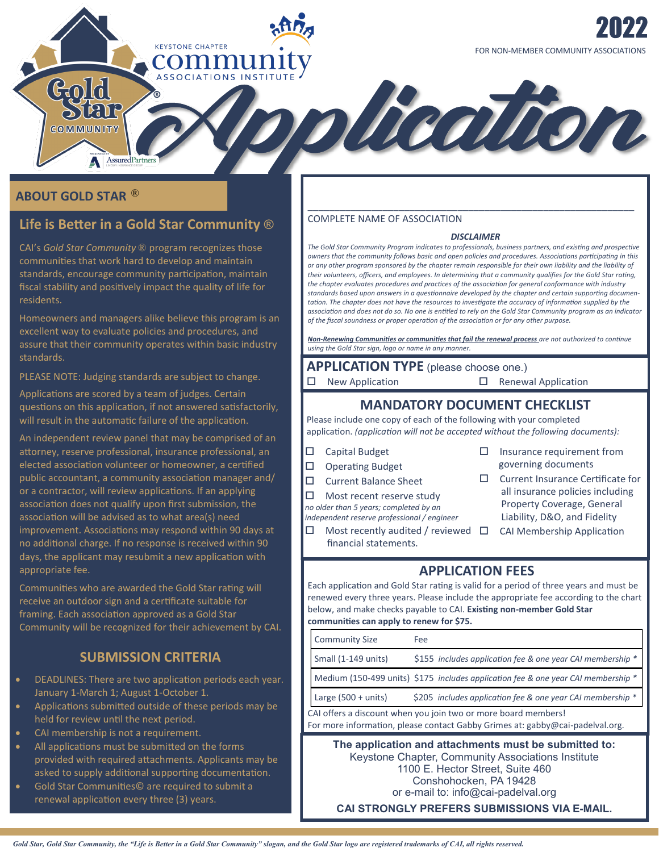## **ABOUT GOLD STAR** ®

Gold

Star COMMUNITY

# **Life is Better in a Gold Star Community** ®

AssuredPartners

**KEYSTONE CHAPTER** commu

CAI's *Gold Star Community* ® program recognizes those communities that work hard to develop and maintain standards, encourage community participation, maintain fiscal stability and positively impact the quality of life for residents.

Homeowners and managers alike believe this program is an excellent way to evaluate policies and procedures, and assure that their community operates within basic industry standards.

PLEASE NOTE: Judging standards are subject to change.

Applications are scored by a team of judges. Certain questions on this application, if not answered satisfactorily, will result in the automatic failure of the application.

An independent review panel that may be comprised of an attorney, reserve professional, insurance professional, an elected association volunteer or homeowner, a certified public accountant, a community association manager and/ or a contractor, will review applications. If an applying association does not qualify upon first submission, the association will be advised as to what area(s) need improvement. Associations may respond within 90 days at no additional charge. If no response is received within 90 days, the applicant may resubmit a new application with appropriate fee.

Communities who are awarded the Gold Star rating will receive an outdoor sign and a certificate suitable for framing. Each association approved as a Gold Star Community will be recognized for their achievement by CAI.

## **SUBMISSION CRITERIA**

- DEADLINES: There are two application periods each year. January 1-March 1; August 1-October 1.
- Applications submitted outside of these periods may be held for review until the next period.
- CAI membership is not a requirement.
- All applications must be submitted on the forms provided with required attachments. Applicants may be asked to supply additional supporting documentation.
- Gold Star Communities© are required to submit a renewal application every three (3) years.

### COMPLETE NAME OF ASSOCIATION

#### *DISCLAIMER*

\_\_\_\_\_\_\_\_\_\_\_\_\_\_\_\_\_\_\_\_\_\_\_\_\_\_\_\_\_\_\_\_\_\_\_\_\_\_\_\_\_\_\_\_\_\_\_\_\_\_\_\_\_\_\_\_\_\_\_\_\_

olication

*The Gold Star Community Program indicates to professionals, business partners, and existing and prospective owners that the community follows basic and open policies and procedures. Associations participating in this or any other program sponsored by the chapter remain responsible for their own liability and the liability of their volunteers, officers, and employees. In determining that a community qualifies for the Gold Star rating, the chapter evaluates procedures and practices of the association for general conformance with industry standards based upon answers in a questionnaire developed by the chapter and certain supporting documentation. The chapter does not have the resources to investigate the accuracy of information supplied by the association and does not do so. No one is entitled to rely on the Gold Star Community program as an indicator of the fiscal soundness or proper operation of the association or for any other purpose.*

*Non-Renewing Communities or communities that fail the renewal process are not authorized to continue using the Gold Star sign, logo or name in any manner.*

**APPLICATION TYPE** (please choose one.)

 $\Box$  New Application  $\Box$  Renewal Application

### **MANDATORY DOCUMENT CHECKLIST**

Please include one copy of each of the following with your completed application. *(application will not be accepted without the following documents):*

- □ Capital Budget
- $\Box$  Operating Budget
- □ Current Balance Sheet
- $\Box$  Most recent reserve study

*no older than 5 years; completed by an* 

*independent reserve professional / engineer*

- financial statements.
- $\square$  Insurance requirement from governing documents
- □ Current Insurance Certificate for all insurance policies including Property Coverage, General Liability, D&O, and Fidelity
- $\Box$  Most recently audited / reviewed  $\Box$  CAI Membership Application

## **APPLICATION FEES**

Each application and Gold Star rating is valid for a period of three years and must be renewed every three years. Please include the appropriate fee according to the chart below, and make checks payable to CAI. **Existing non-member Gold Star communities can apply to renew for \$75.** 

|                                                                                                                                                 | <b>Community Size</b>                                                                                                                           | Fee                                                                               |  |  |  |  |  |
|-------------------------------------------------------------------------------------------------------------------------------------------------|-------------------------------------------------------------------------------------------------------------------------------------------------|-----------------------------------------------------------------------------------|--|--|--|--|--|
|                                                                                                                                                 | Small (1-149 units)                                                                                                                             | \$155 includes application fee & one year CAI membership *                        |  |  |  |  |  |
|                                                                                                                                                 |                                                                                                                                                 | Medium (150-499 units) \$175 includes application fee & one year CAI membership * |  |  |  |  |  |
|                                                                                                                                                 | Large $(500 + units)$                                                                                                                           | \$205 includes application fee & one year CAI membership *                        |  |  |  |  |  |
| CAI offers a discount when you join two or more board members!<br>For more information, please contact Gabby Grimes at: gabby@cai-padelval.org. |                                                                                                                                                 |                                                                                   |  |  |  |  |  |
|                                                                                                                                                 | The application and attachments must be submitted to:<br>Keystone Chapter, Community Associations Institute<br>1100 E. Hector Street, Suite 460 |                                                                                   |  |  |  |  |  |

Conshohocken, PA 19428

or e-mail to: info@cai-padelval.org

**CAI STRONGLY PREFERS SUBMISSIONS VIA E-MAIL.**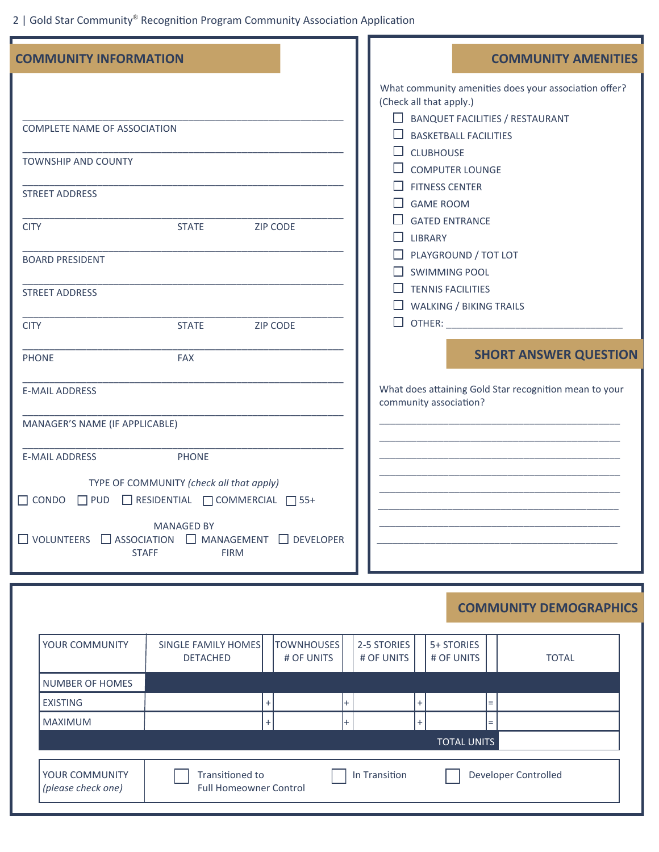2 | Gold Star Community® Recognition Program Community Association Application

| <b>COMMUNITY INFORMATION</b>                                                                                                                                                                                                                                                                                                                                                                                                                                                                               | <b>COMMUNITY AMENITIES</b>                                                                                                                                                                                                                                                                                                                                                                                                                                                                                                         |
|------------------------------------------------------------------------------------------------------------------------------------------------------------------------------------------------------------------------------------------------------------------------------------------------------------------------------------------------------------------------------------------------------------------------------------------------------------------------------------------------------------|------------------------------------------------------------------------------------------------------------------------------------------------------------------------------------------------------------------------------------------------------------------------------------------------------------------------------------------------------------------------------------------------------------------------------------------------------------------------------------------------------------------------------------|
| <b>COMPLETE NAME OF ASSOCIATION</b><br><b>TOWNSHIP AND COUNTY</b><br><b>STREET ADDRESS</b><br><b>STATE</b><br><b>ZIP CODE</b><br><b>CITY</b><br><b>BOARD PRESIDENT</b><br><b>STREET ADDRESS</b><br><b>STATE</b><br><b>CITY</b><br><b>ZIP CODE</b><br><b>PHONE</b><br><b>FAX</b><br><b>E-MAIL ADDRESS</b><br>MANAGER'S NAME (IF APPLICABLE)<br><b>PHONE</b><br><b>E-MAIL ADDRESS</b><br>TYPE OF COMMUNITY (check all that apply)<br>$\Box$ CONDO $\Box$ PUD $\Box$ RESIDENTIAL $\Box$ COMMERCIAL $\Box$ 55+ | What community amenities does your association offer?<br>(Check all that apply.)<br>$\Box$ BANQUET FACILITIES / RESTAURANT<br>$\Box$ BASKETBALL FACILITIES<br>$\Box$ CLUBHOUSE<br>$\Box$ computer lounge<br><b>FITNESS CENTER</b><br><b>GAME ROOM</b><br><b>GATED ENTRANCE</b><br>$\Box$ LIBRARY<br>PLAYGROUND / TOT LOT<br>$\Box$ SWIMMING POOL<br>$\Box$ TENNIS FACILITIES<br>$\Box$ WALKING / BIKING TRAILS<br><b>SHORT ANSWER QUESTION</b><br>What does attaining Gold Star recognition mean to your<br>community association? |
| <b>MANAGED BY</b><br>$\Box$ VOLUNTEERS $\Box$ ASSOCIATION<br>MANAGEMENT DEVELOPER<br><b>STAFF</b><br><b>FIRM</b>                                                                                                                                                                                                                                                                                                                                                                                           |                                                                                                                                                                                                                                                                                                                                                                                                                                                                                                                                    |
|                                                                                                                                                                                                                                                                                                                                                                                                                                                                                                            | <b>COMMUNITY DEMOGRAPHICS</b>                                                                                                                                                                                                                                                                                                                                                                                                                                                                                                      |
|                                                                                                                                                                                                                                                                                                                                                                                                                                                                                                            |                                                                                                                                                                                                                                                                                                                                                                                                                                                                                                                                    |
| SINGLE FAMILY HOMES   TOWNHOUSES   2-5 STORIES   1 5+ STORIES<br><b>YOUR COMMUNITY</b>                                                                                                                                                                                                                                                                                                                                                                                                                     |                                                                                                                                                                                                                                                                                                                                                                                                                                                                                                                                    |

| YOUR COMMUNITY                       | SINGLE FAMILY HOMES<br><b>DETACHED</b>           | <b>TOWNHOUSES</b><br># OF UNITS | 2-5 STORIES<br># OF UNITS | 5+ STORIES<br># OF UNITS | <b>TOTAL</b> |
|--------------------------------------|--------------------------------------------------|---------------------------------|---------------------------|--------------------------|--------------|
| NUMBER OF HOMES                      |                                                  |                                 |                           |                          |              |
| <b>EXISTING</b>                      |                                                  |                                 |                           | $=$                      |              |
| <b>MAXIMUM</b>                       |                                                  |                                 |                           | $=$                      |              |
|                                      | <b>TOTAL UNITS</b>                               |                                 |                           |                          |              |
| YOUR COMMUNITY<br>(please check one) | Transitioned to<br><b>Full Homeowner Control</b> | In Transition                   |                           | Developer Controlled     |              |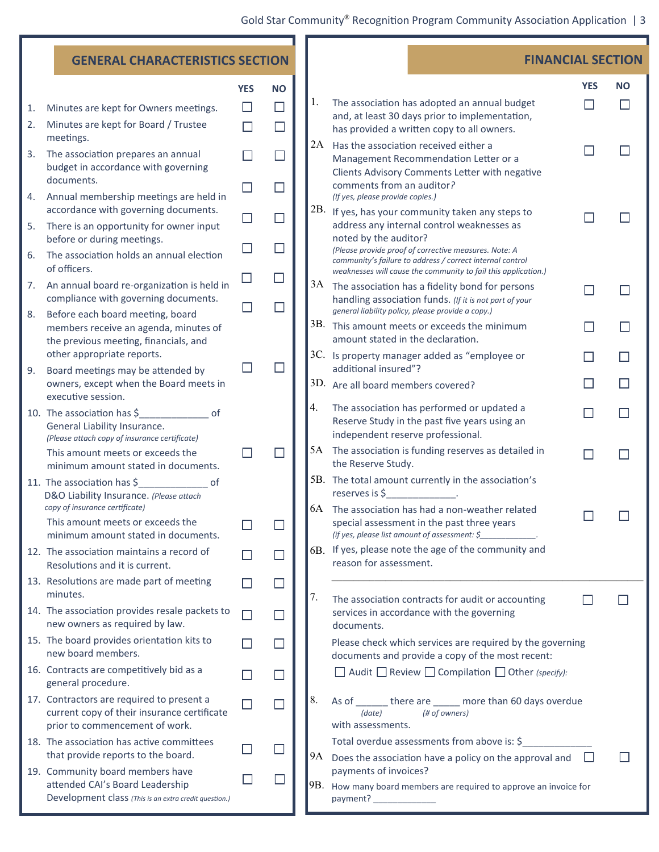| <b>GENERAL CHARACTERISTICS SECTION</b> |                                                                                                                                            |             |                  |    | <b>FINANCIAL SECTION</b>                                                                                                                                                             |              |           |  |
|----------------------------------------|--------------------------------------------------------------------------------------------------------------------------------------------|-------------|------------------|----|--------------------------------------------------------------------------------------------------------------------------------------------------------------------------------------|--------------|-----------|--|
|                                        |                                                                                                                                            | <b>YES</b>  | <b>NO</b>        |    |                                                                                                                                                                                      | <b>YES</b>   | <b>NO</b> |  |
| 1.<br>2.                               | Minutes are kept for Owners meetings.<br>Minutes are kept for Board / Trustee                                                              | $\Box$<br>П | $\Box$<br>$\Box$ | 1. | The association has adopted an annual budget<br>and, at least 30 days prior to implementation,<br>has provided a written copy to all owners.                                         |              |           |  |
| 3.                                     | meetings.<br>The association prepares an annual<br>budget in accordance with governing                                                     |             | $\Box$           |    | 2A Has the association received either a<br>Management Recommendation Letter or a                                                                                                    |              |           |  |
| 4.                                     | documents.<br>Annual membership meetings are held in                                                                                       | $\Box$      | $\Box$           |    | Clients Advisory Comments Letter with negative<br>comments from an auditor?<br>(If yes, please provide copies.)                                                                      |              |           |  |
| 5.                                     | accordance with governing documents.<br>There is an opportunity for owner input                                                            | $\Box$      | $\Box$           |    | 2B. If yes, has your community taken any steps to<br>address any internal control weaknesses as<br>noted by the auditor?                                                             |              |           |  |
| 6.                                     | before or during meetings.<br>The association holds an annual election<br>of officers.                                                     |             | $\Box$           |    | (Please provide proof of corrective measures. Note: A<br>community's failure to address / correct internal control<br>weaknesses will cause the community to fail this application.) |              |           |  |
| 7.                                     | An annual board re-organization is held in<br>compliance with governing documents.                                                         |             | $\Box$<br>$\Box$ |    | $3A$ The association has a fidelity bond for persons<br>handling association funds. (If it is not part of your                                                                       |              |           |  |
| 8.                                     | Before each board meeting, board<br>members receive an agenda, minutes of<br>the previous meeting, financials, and                         |             |                  |    | general liability policy, please provide a copy.)<br>3B. This amount meets or exceeds the minimum<br>amount stated in the declaration.                                               | - 1          |           |  |
| 9.                                     | other appropriate reports.<br>Board meetings may be attended by                                                                            |             | $\Box$           |    | 3C. Is property manager added as "employee or<br>additional insured"?                                                                                                                |              |           |  |
|                                        | owners, except when the Board meets in<br>executive session.                                                                               |             |                  |    | 3D. Are all board members covered?                                                                                                                                                   |              |           |  |
|                                        | $\overline{\phantom{a}}$ of<br>10. The association has \$<br>General Liability Insurance.<br>(Please attach copy of insurance certificate) |             |                  | 4. | The association has performed or updated a<br>Reserve Study in the past five years using an<br>independent reserve professional.                                                     |              |           |  |
|                                        | This amount meets or exceeds the<br>minimum amount stated in documents.                                                                    |             | $\Box$           |    | 5A The association is funding reserves as detailed in<br>the Reserve Study.                                                                                                          |              |           |  |
|                                        | 11. The association has \$<br>0f<br>D&O Liability Insurance. (Please attach<br>copy of insurance certificate)                              |             |                  |    | 5B. The total amount currently in the association's<br>$reserves is \, \xi$ .<br>6A The association has had a non-weather related                                                    |              |           |  |
|                                        | This amount meets or exceeds the<br>minimum amount stated in documents.                                                                    |             |                  |    | special assessment in the past three years<br>(if yes, please list amount of assessment: \$                                                                                          |              |           |  |
|                                        | 12. The association maintains a record of<br>Resolutions and it is current.                                                                |             |                  |    | 6B. If yes, please note the age of the community and<br>reason for assessment.                                                                                                       |              |           |  |
|                                        | 13. Resolutions are made part of meeting<br>minutes.                                                                                       |             | $\sqcup$         | 7. | The association contracts for audit or accounting                                                                                                                                    |              |           |  |
|                                        | 14. The association provides resale packets to<br>new owners as required by law.                                                           |             |                  |    | services in accordance with the governing<br>documents.                                                                                                                              |              |           |  |
|                                        | 15. The board provides orientation kits to<br>new board members.                                                                           |             | ГT               |    | Please check which services are required by the governing<br>documents and provide a copy of the most recent:                                                                        |              |           |  |
|                                        | 16. Contracts are competitively bid as a<br>general procedure.                                                                             |             |                  |    | $\Box$ Audit $\Box$ Review $\Box$ Compilation $\Box$ Other (specify):                                                                                                                |              |           |  |
|                                        | 17. Contractors are required to present a<br>current copy of their insurance certificate<br>prior to commencement of work.                 |             | $\mathbf{I}$     | 8. | As of _______ there are _____ more than 60 days overdue<br>(# of owners)<br>(date)<br>with assessments.                                                                              |              |           |  |
|                                        | 18. The association has active committees<br>that provide reports to the board.                                                            |             | $\Box$           |    | Total overdue assessments from above is: \$<br>$9A$ Does the association have a policy on the approval and                                                                           | $\mathbf{I}$ |           |  |
|                                        | 19. Community board members have<br>attended CAI's Board Leadership<br>Development class (This is an extra credit question.)               |             |                  |    | payments of invoices?<br>$ 9B.$ How many board members are required to approve an invoice for<br>payment? ______________                                                             |              |           |  |